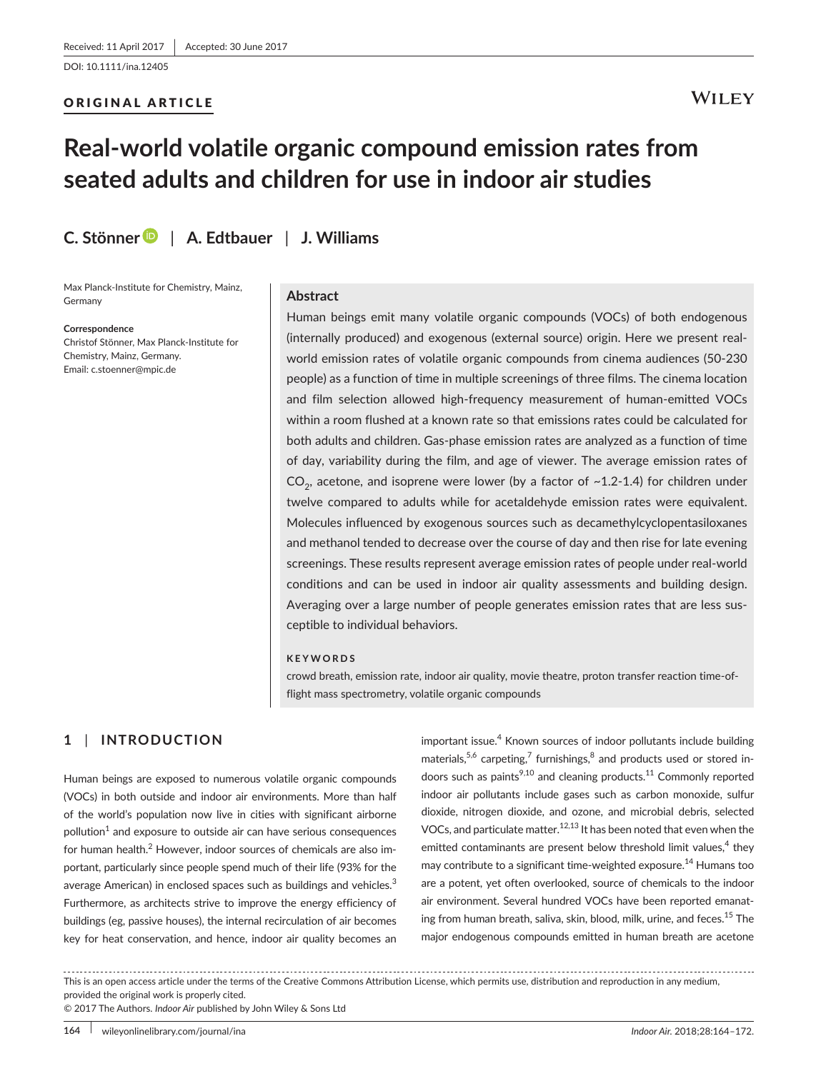## ORIGINAL ARTICLE

## **WILEY**

# **Real-world volatile organic compound emission rates from seated adults and children for use in indoor air studies**

**C. Stönne[r](http://orcid.org/0000-0002-5560-0842)** | **A. Edtbauer** | **J. Williams**

Max Planck-Institute for Chemistry, Mainz, Germany

**Correspondence**

Christof Stönner, Max Planck-Institute for Chemistry, Mainz, Germany. Email: [c.stoenner@mpic.de](mailto:c.stoenner@mpic.de)

#### **Abstract**

Human beings emit many volatile organic compounds (VOCs) of both endogenous (internally produced) and exogenous (external source) origin. Here we present realworld emission rates of volatile organic compounds from cinema audiences (50-230 people) as a function of time in multiple screenings of three films. The cinema location and film selection allowed high-frequency measurement of human-emitted VOCs within a room flushed at a known rate so that emissions rates could be calculated for both adults and children. Gas-phase emission rates are analyzed as a function of time of day, variability during the film, and age of viewer. The average emission rates of  $CO<sub>2</sub>$ , acetone, and isoprene were lower (by a factor of  $~1.2-1.4$ ) for children under twelve compared to adults while for acetaldehyde emission rates were equivalent. Molecules influenced by exogenous sources such as decamethylcyclopentasiloxanes and methanol tended to decrease over the course of day and then rise for late evening screenings. These results represent average emission rates of people under real-world conditions and can be used in indoor air quality assessments and building design. Averaging over a large number of people generates emission rates that are less susceptible to individual behaviors.

#### **KEYWORDS**

crowd breath, emission rate, indoor air quality, movie theatre, proton transfer reaction time-offlight mass spectrometry, volatile organic compounds

## **1** | **INTRODUCTION**

Human beings are exposed to numerous volatile organic compounds (VOCs) in both outside and indoor air environments. More than half of the world's population now live in cities with significant airborne  $p$ ollution $<sup>1</sup>$  and exposure to outside air can have serious consequences</sup> for human health.<sup>2</sup> However, indoor sources of chemicals are also important, particularly since people spend much of their life (93% for the average American) in enclosed spaces such as buildings and vehicles.<sup>3</sup> Furthermore, as architects strive to improve the energy efficiency of buildings (eg, passive houses), the internal recirculation of air becomes key for heat conservation, and hence, indoor air quality becomes an

important issue.<sup>4</sup> Known sources of indoor pollutants include building materials,  $5,6$  carpeting,  $7$  furnishings,  $8$  and products used or stored indoors such as paints $^{9,10}$  and cleaning products.<sup>11</sup> Commonly reported indoor air pollutants include gases such as carbon monoxide, sulfur dioxide, nitrogen dioxide, and ozone, and microbial debris, selected VOCs, and particulate matter.<sup>12,13</sup> It has been noted that even when the emitted contaminants are present below threshold limit values, $4$  they may contribute to a significant time-weighted exposure.<sup>14</sup> Humans too are a potent, yet often overlooked, source of chemicals to the indoor air environment. Several hundred VOCs have been reported emanating from human breath, saliva, skin, blood, milk, urine, and feces.<sup>15</sup> The major endogenous compounds emitted in human breath are acetone

This is an open access article under the terms of the [Creative Commons Attribution](http://creativecommons.org/licenses/by/4.0/) License, which permits use, distribution and reproduction in any medium, provided the original work is properly cited.

© 2017 The Authors. *Indoor Air* published by John Wiley & Sons Ltd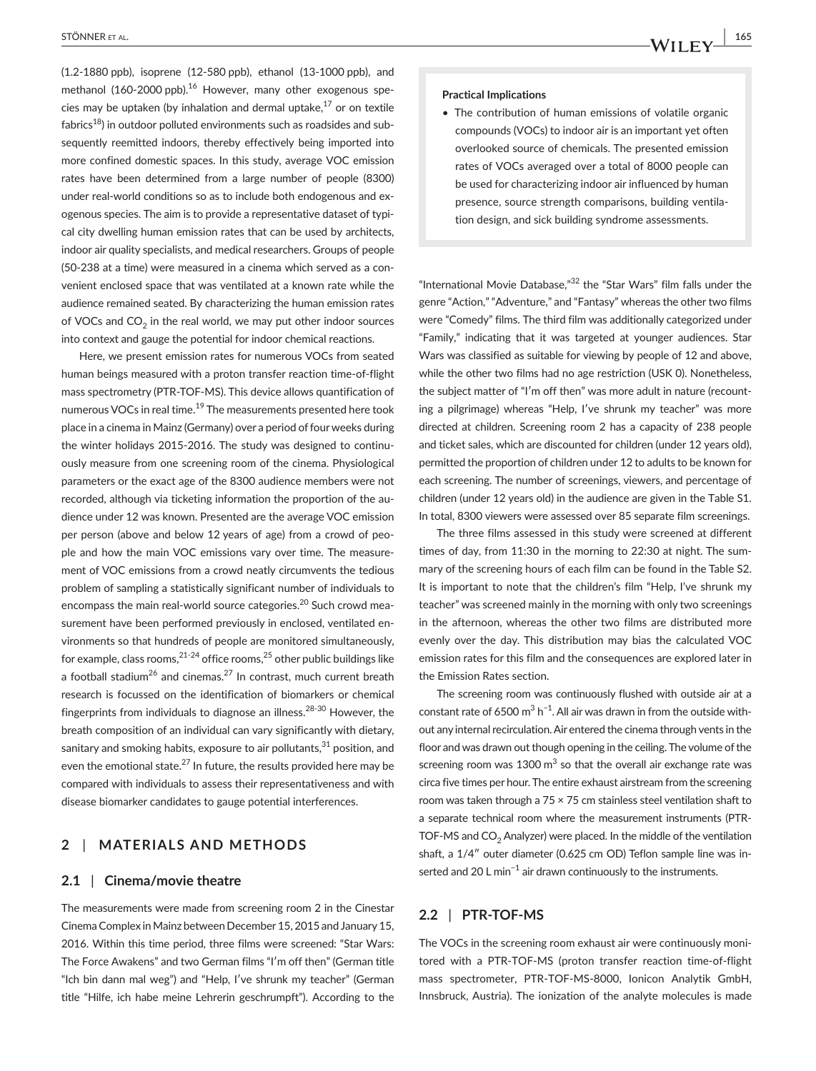(1.2-1880 ppb), isoprene (12-580 ppb), ethanol (13-1000 ppb), and methanol (160-2000 ppb). $16$  However, many other exogenous species may be uptaken (by inhalation and dermal uptake, $17$  or on textile fabrics<sup>18</sup>) in outdoor polluted environments such as roadsides and subsequently reemitted indoors, thereby effectively being imported into more confined domestic spaces. In this study, average VOC emission rates have been determined from a large number of people (8300) under real-world conditions so as to include both endogenous and exogenous species. The aim is to provide a representative dataset of typical city dwelling human emission rates that can be used by architects, indoor air quality specialists, and medical researchers. Groups of people (50-238 at a time) were measured in a cinema which served as a convenient enclosed space that was ventilated at a known rate while the audience remained seated. By characterizing the human emission rates of VOCs and  $CO<sub>2</sub>$  in the real world, we may put other indoor sources into context and gauge the potential for indoor chemical reactions.

Here, we present emission rates for numerous VOCs from seated human beings measured with a proton transfer reaction time-of-flight mass spectrometry (PTR-TOF-MS). This device allows quantification of numerous VOCs in real time.<sup>19</sup> The measurements presented here took place in a cinema in Mainz (Germany) over a period of four weeks during the winter holidays 2015-2016. The study was designed to continuously measure from one screening room of the cinema. Physiological parameters or the exact age of the 8300 audience members were not recorded, although via ticketing information the proportion of the audience under 12 was known. Presented are the average VOC emission per person (above and below 12 years of age) from a crowd of people and how the main VOC emissions vary over time. The measurement of VOC emissions from a crowd neatly circumvents the tedious problem of sampling a statistically significant number of individuals to encompass the main real-world source categories.<sup>20</sup> Such crowd measurement have been performed previously in enclosed, ventilated environments so that hundreds of people are monitored simultaneously, for example, class rooms,  $21-24$  office rooms,  $25$  other public buildings like a football stadium<sup>26</sup> and cinemas.<sup>27</sup> In contrast, much current breath research is focussed on the identification of biomarkers or chemical fingerprints from individuals to diagnose an illness.28-30 However, the breath composition of an individual can vary significantly with dietary, sanitary and smoking habits, exposure to air pollutants, $31$  position, and even the emotional state.<sup>27</sup> In future, the results provided here may be compared with individuals to assess their representativeness and with disease biomarker candidates to gauge potential interferences.

## **2** | **MATERIALS AND METHODS**

#### **2.1** | **Cinema/movie theatre**

The measurements were made from screening room 2 in the Cinestar Cinema Complex in Mainz between December 15, 2015 and January 15, 2016. Within this time period, three films were screened: "Star Wars: The Force Awakens" and two German films "I′m off then" (German title "Ich bin dann mal weg") and "Help, I′ve shrunk my teacher" (German title "Hilfe, ich habe meine Lehrerin geschrumpft"). According to the

#### **Practical Implications**

• The contribution of human emissions of volatile organic compounds (VOCs) to indoor air is an important yet often overlooked source of chemicals. The presented emission rates of VOCs averaged over a total of 8000 people can be used for characterizing indoor air influenced by human presence, source strength comparisons, building ventilation design, and sick building syndrome assessments.

"International Movie Database,"32 the "Star Wars" film falls under the genre "Action," "Adventure," and "Fantasy" whereas the other two films were "Comedy" films. The third film was additionally categorized under "Family," indicating that it was targeted at younger audiences. Star Wars was classified as suitable for viewing by people of 12 and above, while the other two films had no age restriction (USK 0). Nonetheless, the subject matter of "I′m off then" was more adult in nature (recounting a pilgrimage) whereas "Help, I′ve shrunk my teacher" was more directed at children. Screening room 2 has a capacity of 238 people and ticket sales, which are discounted for children (under 12 years old), permitted the proportion of children under 12 to adults to be known for each screening. The number of screenings, viewers, and percentage of children (under 12 years old) in the audience are given in the Table S1. In total, 8300 viewers were assessed over 85 separate film screenings.

The three films assessed in this study were screened at different times of day, from 11:30 in the morning to 22:30 at night. The summary of the screening hours of each film can be found in the Table S2. It is important to note that the children's film "Help, I've shrunk my teacher" was screened mainly in the morning with only two screenings in the afternoon, whereas the other two films are distributed more evenly over the day. This distribution may bias the calculated VOC emission rates for this film and the consequences are explored later in the Emission Rates section.

The screening room was continuously flushed with outside air at a constant rate of 6500 m<sup>3</sup> h<sup>-1</sup>. All air was drawn in from the outside without any internal recirculation. Air entered the cinema through vents in the floor and was drawn out though opening in the ceiling. The volume of the screening room was  $1300 \text{ m}^3$  so that the overall air exchange rate was circa five times per hour. The entire exhaust airstream from the screening room was taken through a 75 × 75 cm stainless steel ventilation shaft to a separate technical room where the measurement instruments (PTR-TOF-MS and  $CO<sub>2</sub>$  Analyzer) were placed. In the middle of the ventilation shaft, a 1/4″ outer diameter (0.625 cm OD) Teflon sample line was inserted and 20 L min<sup>-1</sup> air drawn continuously to the instruments.

## **2.2** | **PTR-TOF-MS**

The VOCs in the screening room exhaust air were continuously monitored with a PTR-TOF-MS (proton transfer reaction time-of-flight mass spectrometer, PTR-TOF-MS-8000, Ionicon Analytik GmbH, Innsbruck, Austria). The ionization of the analyte molecules is made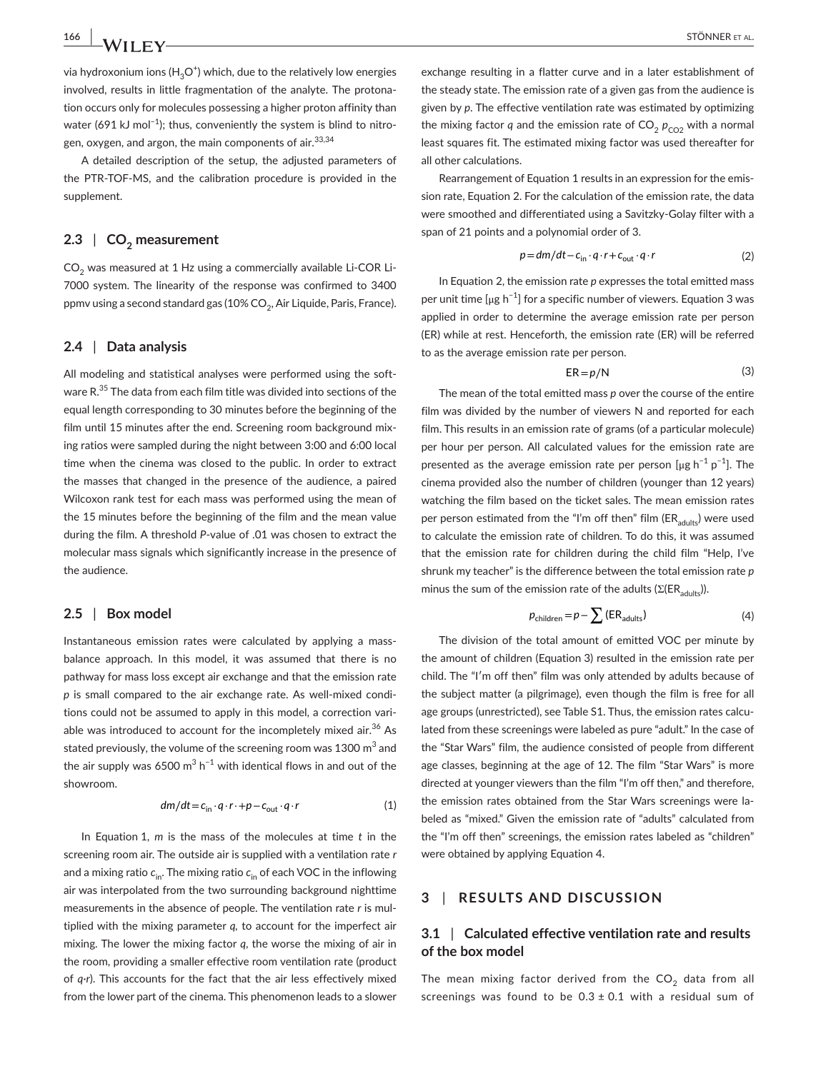via hydroxonium ions (H $_3$ O $^{\dagger}$ ) which, due to the relatively low energies involved, results in little fragmentation of the analyte. The protonation occurs only for molecules possessing a higher proton affinity than water (691 kJ mol<sup>-1</sup>); thus, conveniently the system is blind to nitrogen, oxygen, and argon, the main components of air.<sup>33,34</sup>

A detailed description of the setup, the adjusted parameters of the PTR-TOF-MS, and the calibration procedure is provided in the supplement.

## 2.3 **| CO<sub>2</sub>** measurement

 $CO<sub>2</sub>$  was measured at 1 Hz using a commercially available Li-COR Li-7000 system. The linearity of the response was confirmed to 3400 ppmv using a second standard gas  $(10\%$  CO<sub>2</sub>, Air Liquide, Paris, France).

#### **2.4** | **Data analysis**

All modeling and statistical analyses were performed using the software R.<sup>35</sup> The data from each film title was divided into sections of the equal length corresponding to 30 minutes before the beginning of the film until 15 minutes after the end. Screening room background mixing ratios were sampled during the night between 3:00 and 6:00 local time when the cinema was closed to the public. In order to extract the masses that changed in the presence of the audience, a paired Wilcoxon rank test for each mass was performed using the mean of the 15 minutes before the beginning of the film and the mean value during the film. A threshold *P*-value of .01 was chosen to extract the molecular mass signals which significantly increase in the presence of the audience.

#### **2.5** | **Box model**

Instantaneous emission rates were calculated by applying a massbalance approach. In this model, it was assumed that there is no pathway for mass loss except air exchange and that the emission rate *p* is small compared to the air exchange rate. As well-mixed conditions could not be assumed to apply in this model, a correction variable was introduced to account for the incompletely mixed air. $36$  As stated previously, the volume of the screening room was 1300  $\mathrm{m}^{3}$  and the air supply was 6500 m<sup>3</sup> h<sup>-1</sup> with identical flows in and out of the showroom.

$$
dm/dt = c_{\text{in}} \cdot q \cdot r \cdot + p - c_{\text{out}} \cdot q \cdot r \tag{1}
$$

In Equation 1, *m* is the mass of the molecules at time *t* in the screening room air. The outside air is supplied with a ventilation rate *r* and a mixing ratio  $c_{\text{in}}$ . The mixing ratio  $c_{\text{in}}$  of each VOC in the inflowing air was interpolated from the two surrounding background nighttime measurements in the absence of people. The ventilation rate *r* is multiplied with the mixing parameter *q,* to account for the imperfect air mixing. The lower the mixing factor *q*, the worse the mixing of air in the room, providing a smaller effective room ventilation rate (product of *q*·*r*). This accounts for the fact that the air less effectively mixed from the lower part of the cinema. This phenomenon leads to a slower

exchange resulting in a flatter curve and in a later establishment of the steady state. The emission rate of a given gas from the audience is given by *p*. The effective ventilation rate was estimated by optimizing the mixing factor *q* and the emission rate of  $CO<sub>2</sub> p<sub>CO2</sub>$  with a normal least squares fit. The estimated mixing factor was used thereafter for all other calculations.

Rearrangement of Equation 1 results in an expression for the emission rate, Equation 2. For the calculation of the emission rate, the data were smoothed and differentiated using a Savitzky-Golay filter with a span of 21 points and a polynomial order of 3.

$$
p = dm/dt - c_{\text{in}} \cdot q \cdot r + c_{\text{out}} \cdot q \cdot r \tag{2}
$$

In Equation 2, the emission rate *p* expresses the total emitted mass per unit time  $\lceil \mu g \, h^{-1} \rceil$  for a specific number of viewers. Equation 3 was applied in order to determine the average emission rate per person (ER) while at rest. Henceforth, the emission rate (ER) will be referred to as the average emission rate per person.

$$
ER = p/N \tag{3}
$$

The mean of the total emitted mass *p* over the course of the entire film was divided by the number of viewers N and reported for each film. This results in an emission rate of grams (of a particular molecule) per hour per person. All calculated values for the emission rate are presented as the average emission rate per person [µg  $h^{-1} p^{-1}$ ]. The cinema provided also the number of children (younger than 12 years) watching the film based on the ticket sales. The mean emission rates per person estimated from the "I'm off then" film ( $ER_{adults}$ ) were used to calculate the emission rate of children. To do this, it was assumed that the emission rate for children during the child film "Help, I've shrunk my teacher" is the difference between the total emission rate *p* minus the sum of the emission rate of the adults ( $\Sigma$ (ER<sub>adults</sub>)).

$$
p_{\text{children}} = p - \sum \left( \text{ER}_{\text{adults}} \right) \tag{4}
$$

The division of the total amount of emitted VOC per minute by the amount of children (Equation 3) resulted in the emission rate per child. The "I′m off then" film was only attended by adults because of the subject matter (a pilgrimage), even though the film is free for all age groups (unrestricted), see Table S1. Thus, the emission rates calculated from these screenings were labeled as pure "adult." In the case of the "Star Wars" film, the audience consisted of people from different age classes, beginning at the age of 12. The film "Star Wars" is more directed at younger viewers than the film "I'm off then," and therefore, the emission rates obtained from the Star Wars screenings were labeled as "mixed." Given the emission rate of "adults" calculated from the "I'm off then" screenings, the emission rates labeled as "children" were obtained by applying Equation 4.

## **3** | **RESULTS AND DISCUSSION**

## **3.1** | **Calculated effective ventilation rate and results of the box model**

The mean mixing factor derived from the  $CO<sub>2</sub>$  data from all screenings was found to be  $0.3 \pm 0.1$  with a residual sum of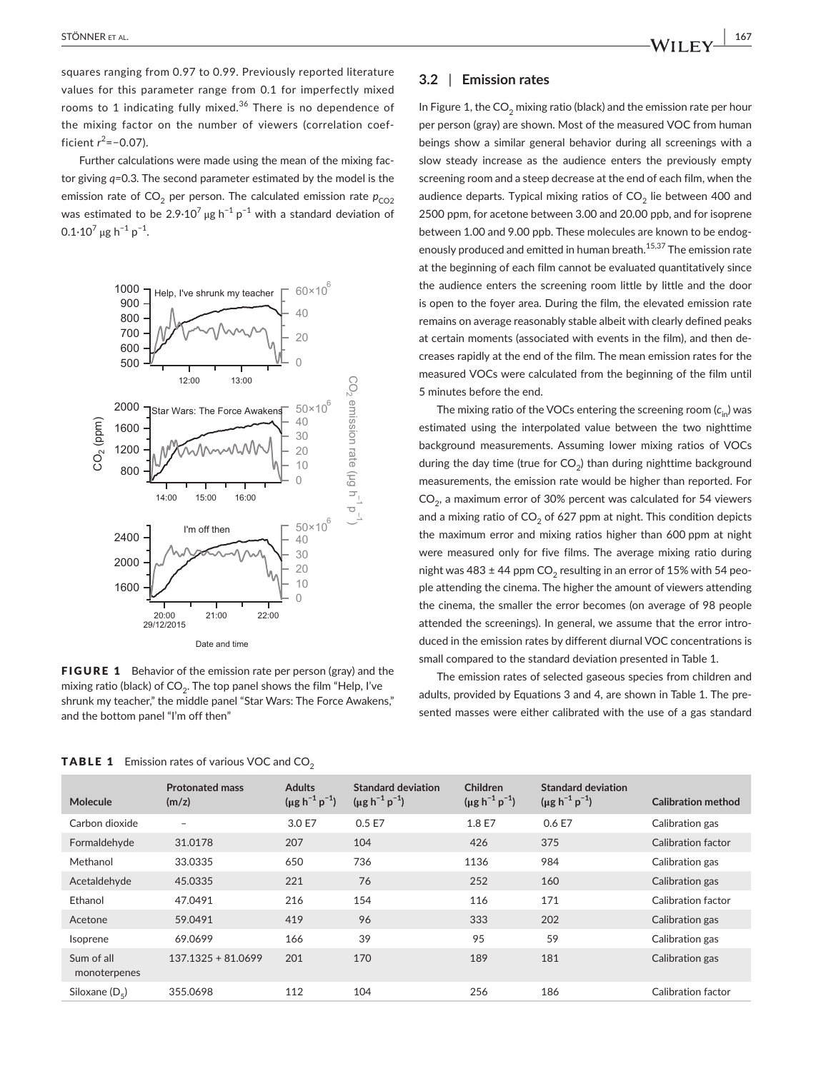squares ranging from 0.97 to 0.99. Previously reported literature values for this parameter range from 0.1 for imperfectly mixed rooms to 1 indicating fully mixed.<sup>36</sup> There is no dependence of the mixing factor on the number of viewers (correlation coefficient *r* 2 =−0.07).

Further calculations were made using the mean of the mixing factor giving *q=*0.3*.* The second parameter estimated by the model is the emission rate of  $CO<sub>2</sub>$  per person. The calculated emission rate  $p_{CO2}$ was estimated to be 2.9 $\cdot$ 10<sup>7</sup> µg h<sup>-1</sup> p<sup>-1</sup> with a standard deviation of  $0.1·10<sup>7</sup>$  µg h<sup>-1</sup> p<sup>-1</sup>.



FIGURE 1 Behavior of the emission rate per person (gray) and the mixing ratio (black) of  $CO<sub>2</sub>$ . The top panel shows the film "Help, I've shrunk my teacher," the middle panel "Star Wars: The Force Awakens," and the bottom panel "I'm off then"

### **3.2** | **Emission rates**

In Figure 1, the  $CO<sub>2</sub>$  mixing ratio (black) and the emission rate per hour per person (gray) are shown. Most of the measured VOC from human beings show a similar general behavior during all screenings with a slow steady increase as the audience enters the previously empty screening room and a steep decrease at the end of each film, when the audience departs. Typical mixing ratios of  $CO<sub>2</sub>$  lie between 400 and 2500 ppm, for acetone between 3.00 and 20.00 ppb, and for isoprene between 1.00 and 9.00 ppb. These molecules are known to be endogenously produced and emitted in human breath.<sup>15,37</sup> The emission rate at the beginning of each film cannot be evaluated quantitatively since the audience enters the screening room little by little and the door is open to the foyer area. During the film, the elevated emission rate remains on average reasonably stable albeit with clearly defined peaks at certain moments (associated with events in the film), and then decreases rapidly at the end of the film. The mean emission rates for the measured VOCs were calculated from the beginning of the film until 5 minutes before the end.

The mixing ratio of the VOCs entering the screening room  $(c_{i})$  was estimated using the interpolated value between the two nighttime background measurements. Assuming lower mixing ratios of VOCs during the day time (true for  $CO<sub>2</sub>$ ) than during nighttime background measurements, the emission rate would be higher than reported. For  $CO<sub>2</sub>$ , a maximum error of 30% percent was calculated for 54 viewers and a mixing ratio of  $CO<sub>2</sub>$  of 627 ppm at night. This condition depicts the maximum error and mixing ratios higher than 600 ppm at night were measured only for five films. The average mixing ratio during night was 483  $\pm$  44 ppm CO<sub>2</sub> resulting in an error of 15% with 54 people attending the cinema. The higher the amount of viewers attending the cinema, the smaller the error becomes (on average of 98 people attended the screenings). In general, we assume that the error introduced in the emission rates by different diurnal VOC concentrations is small compared to the standard deviation presented in Table 1.

The emission rates of selected gaseous species from children and adults, provided by Equations 3 and 4, are shown in Table 1. The presented masses were either calibrated with the use of a gas standard

| Molecule                   | <b>Protonated mass</b><br>(m/z) | <b>Adults</b><br>$(\mu g h^{-1} p^{-1})$ | Standard deviation<br>$(\mu g h^{-1} p^{-1})$ | Children<br>$(\mu g h^{-1} p^{-1})$ | <b>Standard deviation</b><br>$(\mu g h^{-1} p^{-1})$ | <b>Calibration method</b> |
|----------------------------|---------------------------------|------------------------------------------|-----------------------------------------------|-------------------------------------|------------------------------------------------------|---------------------------|
| Carbon dioxide             | $\qquad \qquad -$               | 3.0 E7                                   | 0.5 E7                                        | 1.8 E7                              | 0.6 E7                                               | Calibration gas           |
| Formaldehyde               | 31.0178                         | 207                                      | 104                                           | 426                                 | 375                                                  | Calibration factor        |
| Methanol                   | 33.0335                         | 650                                      | 736                                           | 1136                                | 984                                                  | Calibration gas           |
| Acetaldehyde               | 45.0335                         | 221                                      | 76                                            | 252                                 | 160                                                  | Calibration gas           |
| Ethanol                    | 47.0491                         | 216                                      | 154                                           | 116                                 | 171                                                  | Calibration factor        |
| Acetone                    | 59.0491                         | 419                                      | 96                                            | 333                                 | 202                                                  | Calibration gas           |
| Isoprene                   | 69.0699                         | 166                                      | 39                                            | 95                                  | 59                                                   | Calibration gas           |
| Sum of all<br>monoterpenes | $137.1325 + 81.0699$            | 201                                      | 170                                           | 189                                 | 181                                                  | Calibration gas           |
| Siloxane $(D_5)$           | 355.0698                        | 112                                      | 104                                           | 256                                 | 186                                                  | Calibration factor        |

**TABLE 1** Emission rates of various VOC and  $CO<sub>2</sub>$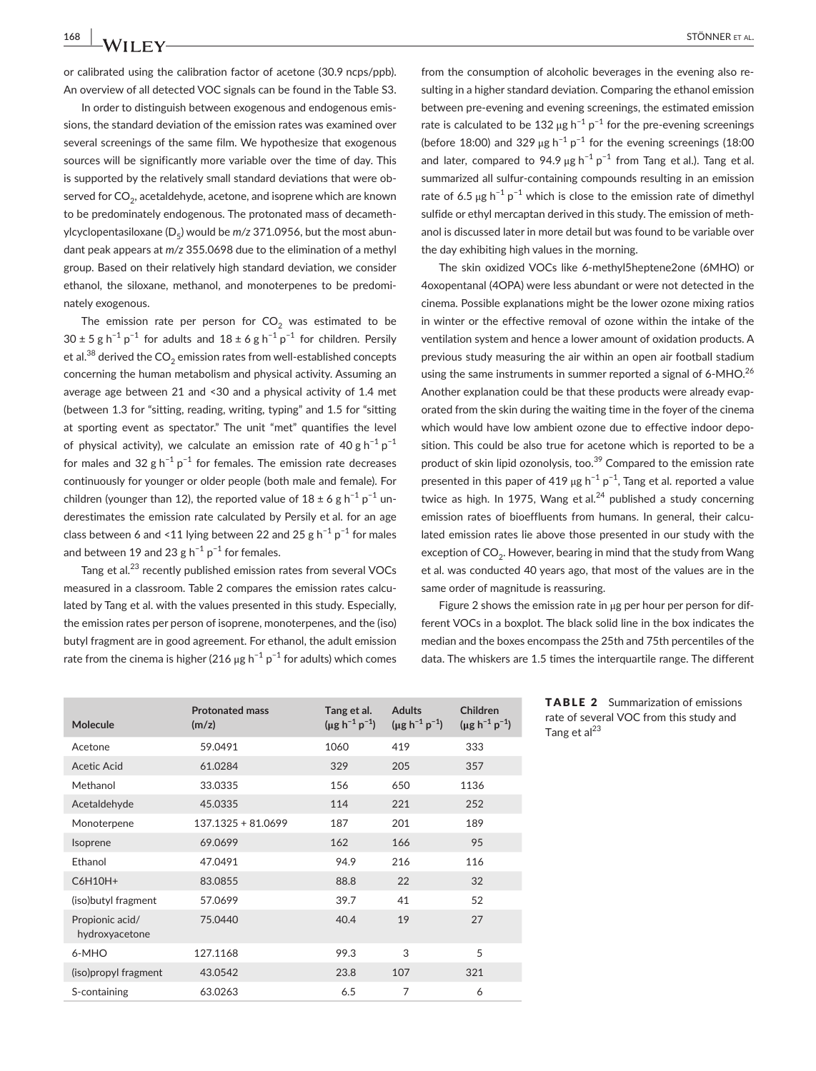or calibrated using the calibration factor of acetone (30.9 ncps/ppb). An overview of all detected VOC signals can be found in the Table S3.

In order to distinguish between exogenous and endogenous emissions, the standard deviation of the emission rates was examined over several screenings of the same film. We hypothesize that exogenous sources will be significantly more variable over the time of day. This is supported by the relatively small standard deviations that were observed for  $CO<sub>2</sub>$ , acetaldehyde, acetone, and isoprene which are known to be predominately endogenous. The protonated mass of decamethylcyclopentasiloxane (D<sub>c</sub>) would be *m/z* 371.0956, but the most abundant peak appears at *m/z* 355.0698 due to the elimination of a methyl group. Based on their relatively high standard deviation, we consider ethanol, the siloxane, methanol, and monoterpenes to be predominately exogenous.

The emission rate per person for  $CO<sub>2</sub>$  was estimated to be  $30 \pm 5$  g h<sup>-1</sup> p<sup>-1</sup> for adults and  $18 \pm 6$  g h<sup>-1</sup> p<sup>-1</sup> for children. Persily et al.<sup>38</sup> derived the  $CO<sub>2</sub>$  emission rates from well-established concepts concerning the human metabolism and physical activity. Assuming an average age between 21 and <30 and a physical activity of 1.4 met (between 1.3 for "sitting, reading, writing, typing" and 1.5 for "sitting at sporting event as spectator." The unit "met" quantifies the level of physical activity), we calculate an emission rate of 40 g  $h^{-1} p^{-1}$ for males and 32 g h<sup>-1</sup> p<sup>-1</sup> for females. The emission rate decreases continuously for younger or older people (both male and female). For children (younger than 12), the reported value of  $18 \pm 6$  g h<sup>-1</sup> p<sup>-1</sup> underestimates the emission rate calculated by Persily et al. for an age class between 6 and <11 lying between 22 and 25 g h<sup>-1</sup> p<sup>-1</sup> for males and between 19 and 23 g  $h^{-1} p^{-1}$  for females.

Tang et al.<sup>23</sup> recently published emission rates from several VOCs measured in a classroom. Table 2 compares the emission rates calculated by Tang et al. with the values presented in this study. Especially, the emission rates per person of isoprene, monoterpenes, and the (iso) butyl fragment are in good agreement. For ethanol, the adult emission rate from the cinema is higher (216  $\mu$ g h<sup>-1</sup> p<sup>-1</sup> for adults) which comes from the consumption of alcoholic beverages in the evening also resulting in a higher standard deviation. Comparing the ethanol emission between pre-evening and evening screenings, the estimated emission rate is calculated to be 132 µg  $h^{-1} p^{-1}$  for the pre-evening screenings (before 18:00) and 329 µg  $h^{-1}p^{-1}$  for the evening screenings (18:00 and later, compared to 94.9  $\mu$ g h<sup>-1</sup> p<sup>-1</sup> from Tang et al.). Tang et al. summarized all sulfur-containing compounds resulting in an emission rate of 6.5 μg  $h^{-1} p^{-1}$  which is close to the emission rate of dimethyl sulfide or ethyl mercaptan derived in this study. The emission of methanol is discussed later in more detail but was found to be variable over the day exhibiting high values in the morning.

The skin oxidized VOCs like 6-methyl5heptene2one (6MHO) or 4oxopentanal (4OPA) were less abundant or were not detected in the cinema. Possible explanations might be the lower ozone mixing ratios in winter or the effective removal of ozone within the intake of the ventilation system and hence a lower amount of oxidation products. A previous study measuring the air within an open air football stadium using the same instruments in summer reported a signal of 6-MHO.<sup>26</sup> Another explanation could be that these products were already evaporated from the skin during the waiting time in the foyer of the cinema which would have low ambient ozone due to effective indoor deposition. This could be also true for acetone which is reported to be a product of skin lipid ozonolysis, too.<sup>39</sup> Compared to the emission rate presented in this paper of 419 µg  $h^{-1} p^{-1}$ , Tang et al. reported a value twice as high. In 1975, Wang et al. $^{24}$  published a study concerning emission rates of bioeffluents from humans. In general, their calculated emission rates lie above those presented in our study with the exception of  $CO<sub>2</sub>$ . However, bearing in mind that the study from Wang et al. was conducted 40 years ago, that most of the values are in the same order of magnitude is reassuring.

Figure 2 shows the emission rate in μg per hour per person for different VOCs in a boxplot. The black solid line in the box indicates the median and the boxes encompass the 25th and 75th percentiles of the data. The whiskers are 1.5 times the interquartile range. The different

| Molecule                          | <b>Protonated mass</b><br>(m/z) | Tang et al.<br>$(\mu g h^{-1} p^{-1})$ | <b>Adults</b><br>$(\mu g h^{-1} p^{-1})$ | Children<br>$(\mu g h^{-1} p^{-1})$ |
|-----------------------------------|---------------------------------|----------------------------------------|------------------------------------------|-------------------------------------|
| Acetone                           | 59.0491                         | 1060                                   | 419                                      | 333                                 |
| Acetic Acid                       | 61.0284                         | 329                                    | 205                                      | 357                                 |
| Methanol                          | 33.0335                         | 156                                    | 650                                      | 1136                                |
| Acetaldehyde                      | 45.0335                         | 114                                    | 221                                      | 252                                 |
| Monoterpene                       | 137.1325 + 81.0699              | 187                                    | 201                                      | 189                                 |
| Isoprene                          | 69.0699                         | 162                                    | 166                                      | 95                                  |
| Ethanol                           | 47.0491                         | 94.9                                   | 216                                      | 116                                 |
| C6H10H+                           | 83.0855                         | 88.8                                   | 22                                       | 32                                  |
| (iso) butyl fragment              | 57.0699                         | 39.7                                   | 41                                       | 52                                  |
| Propionic acid/<br>hydroxyacetone | 75.0440                         | 40.4                                   | 19                                       | 27                                  |
| 6-MHO                             | 127.1168                        | 99.3                                   | 3                                        | 5                                   |
| (iso)propyl fragment              | 43.0542                         | 23.8                                   | 107                                      | 321                                 |
| S-containing                      | 63.0263                         | 6.5                                    | 7                                        | 6                                   |

TABLE 2 Summarization of emissions rate of several VOC from this study and Tang et al<sup>23</sup>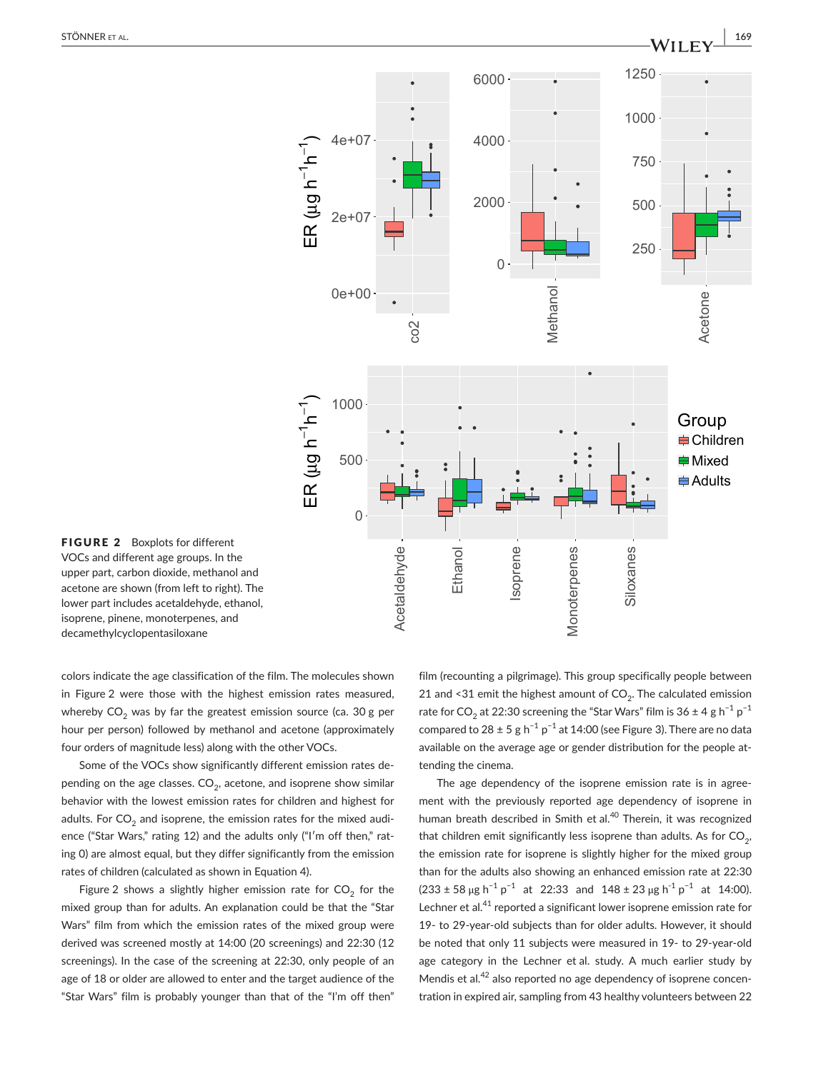

FIGURE 2 Boxplots for different VOCs and different age groups. In the upper part, carbon dioxide, methanol and acetone are shown (from left to right). The lower part includes acetaldehyde, ethanol, isoprene, pinene, monoterpenes, and decamethylcyclopentasiloxane

colors indicate the age classification of the film. The molecules shown in Figure 2 were those with the highest emission rates measured, whereby  $CO<sub>2</sub>$  was by far the greatest emission source (ca. 30 g per hour per person) followed by methanol and acetone (approximately four orders of magnitude less) along with the other VOCs.

Some of the VOCs show significantly different emission rates depending on the age classes.  $CO<sub>2</sub>$ , acetone, and isoprene show similar behavior with the lowest emission rates for children and highest for adults. For  $CO<sub>2</sub>$  and isoprene, the emission rates for the mixed audience ("Star Wars," rating 12) and the adults only ("I'm off then," rating 0) are almost equal, but they differ significantly from the emission rates of children (calculated as shown in Equation 4).

Figure 2 shows a slightly higher emission rate for  $CO<sub>2</sub>$  for the mixed group than for adults. An explanation could be that the "Star Wars" film from which the emission rates of the mixed group were derived was screened mostly at 14:00 (20 screenings) and 22:30 (12 screenings). In the case of the screening at 22:30, only people of an age of 18 or older are allowed to enter and the target audience of the "Star Wars" film is probably younger than that of the "I'm off then" film (recounting a pilgrimage). This group specifically people between 21 and <31 emit the highest amount of  $CO<sub>2</sub>$ . The calculated emission rate for CO<sub>2</sub> at 22:30 screening the "Star Wars" film is 36 ± 4 g h<sup>-1</sup> p<sup>-1</sup> compared to 28 ± 5 g h<sup>-1</sup> p<sup>-1</sup> at 14:00 (see Figure 3). There are no data available on the average age or gender distribution for the people attending the cinema.

The age dependency of the isoprene emission rate is in agreement with the previously reported age dependency of isoprene in human breath described in Smith et al.<sup>40</sup> Therein, it was recognized that children emit significantly less isoprene than adults. As for  $CO<sub>2</sub>$ , the emission rate for isoprene is slightly higher for the mixed group than for the adults also showing an enhanced emission rate at 22:30  $(233 \pm 58 \,\mu g \, h^{-1} \, p^{-1}$  at 22:33 and  $148 \pm 23 \,\mu g \, h^{-1} \, p^{-1}$  at 14:00). Lechner et al.<sup>41</sup> reported a significant lower isoprene emission rate for 19- to 29-year-old subjects than for older adults. However, it should be noted that only 11 subjects were measured in 19- to 29-year-old age category in the Lechner et al. study. A much earlier study by Mendis et al.<sup>42</sup> also reported no age dependency of isoprene concentration in expired air, sampling from 43 healthy volunteers between 22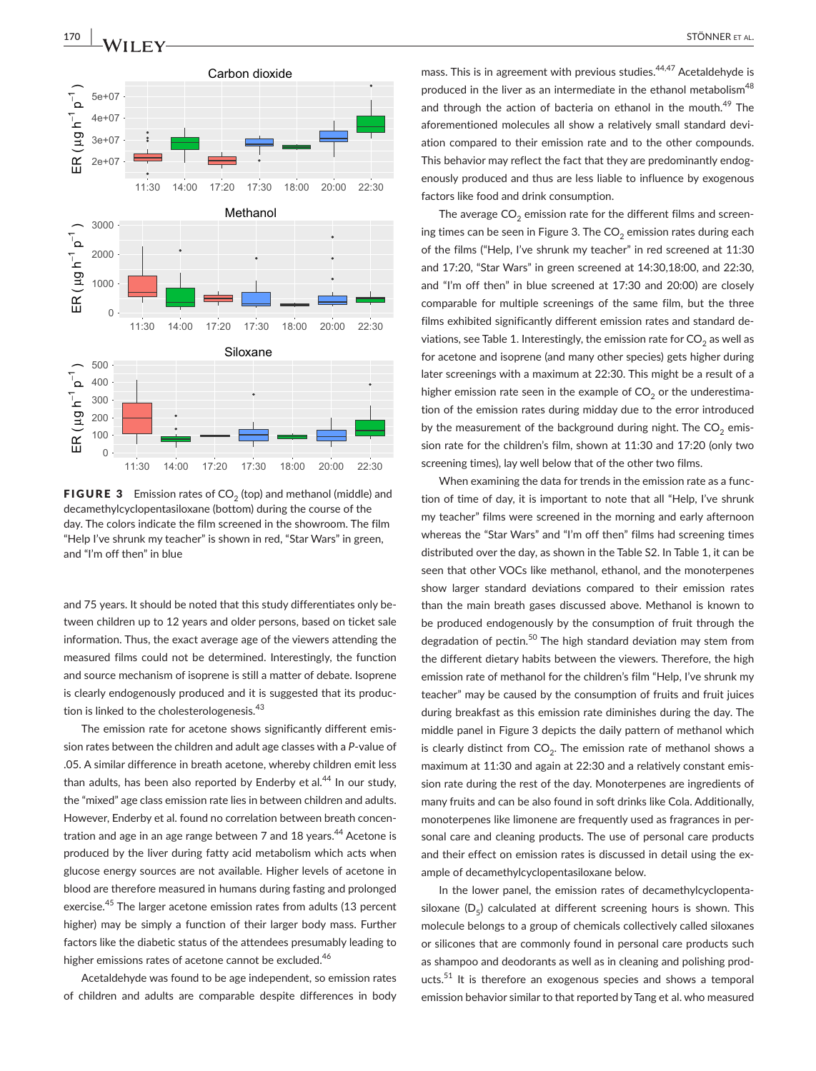

**FIGURE 3** Emission rates of  $CO<sub>2</sub>$  (top) and methanol (middle) and decamethylcyclopentasiloxane (bottom) during the course of the day. The colors indicate the film screened in the showroom. The film "Help I've shrunk my teacher" is shown in red, "Star Wars" in green, and "I'm off then" in blue

and 75 years. It should be noted that this study differentiates only between children up to 12 years and older persons, based on ticket sale information. Thus, the exact average age of the viewers attending the measured films could not be determined. Interestingly, the function and source mechanism of isoprene is still a matter of debate. Isoprene is clearly endogenously produced and it is suggested that its production is linked to the cholesterologenesis.<sup>43</sup>

The emission rate for acetone shows significantly different emission rates between the children and adult age classes with a *P*-value of .05. A similar difference in breath acetone, whereby children emit less than adults, has been also reported by Enderby et al. $44$  In our study, the "mixed" age class emission rate lies in between children and adults. However, Enderby et al. found no correlation between breath concentration and age in an age range between 7 and 18 years.<sup>44</sup> Acetone is produced by the liver during fatty acid metabolism which acts when glucose energy sources are not available. Higher levels of acetone in blood are therefore measured in humans during fasting and prolonged exercise.<sup>45</sup> The larger acetone emission rates from adults (13 percent higher) may be simply a function of their larger body mass. Further factors like the diabetic status of the attendees presumably leading to higher emissions rates of acetone cannot be excluded.<sup>46</sup>

Acetaldehyde was found to be age independent, so emission rates of children and adults are comparable despite differences in body mass. This is in agreement with previous studies.<sup>44,47</sup> Acetaldehyde is produced in the liver as an intermediate in the ethanol metabolism<sup>48</sup> and through the action of bacteria on ethanol in the mouth.<sup>49</sup> The aforementioned molecules all show a relatively small standard deviation compared to their emission rate and to the other compounds. This behavior may reflect the fact that they are predominantly endogenously produced and thus are less liable to influence by exogenous factors like food and drink consumption.

The average  $CO<sub>2</sub>$  emission rate for the different films and screening times can be seen in Figure 3. The  $CO<sub>2</sub>$  emission rates during each of the films ("Help, I've shrunk my teacher" in red screened at 11:30 and 17:20, "Star Wars" in green screened at 14:30,18:00, and 22:30, and "I'm off then" in blue screened at 17:30 and 20:00) are closely comparable for multiple screenings of the same film, but the three films exhibited significantly different emission rates and standard deviations, see Table 1. Interestingly, the emission rate for  $CO<sub>2</sub>$  as well as for acetone and isoprene (and many other species) gets higher during later screenings with a maximum at 22:30. This might be a result of a higher emission rate seen in the example of  $CO<sub>2</sub>$  or the underestimation of the emission rates during midday due to the error introduced by the measurement of the background during night. The  $CO<sub>2</sub>$  emission rate for the children's film, shown at 11:30 and 17:20 (only two screening times), lay well below that of the other two films.

When examining the data for trends in the emission rate as a function of time of day, it is important to note that all "Help, I've shrunk my teacher" films were screened in the morning and early afternoon whereas the "Star Wars" and "I'm off then" films had screening times distributed over the day, as shown in the Table S2. In Table 1, it can be seen that other VOCs like methanol, ethanol, and the monoterpenes show larger standard deviations compared to their emission rates than the main breath gases discussed above. Methanol is known to be produced endogenously by the consumption of fruit through the degradation of pectin.<sup>50</sup> The high standard deviation may stem from the different dietary habits between the viewers. Therefore, the high emission rate of methanol for the children's film "Help, I've shrunk my teacher" may be caused by the consumption of fruits and fruit juices during breakfast as this emission rate diminishes during the day. The middle panel in Figure 3 depicts the daily pattern of methanol which is clearly distinct from  $CO<sub>2</sub>$ . The emission rate of methanol shows a maximum at 11:30 and again at 22:30 and a relatively constant emission rate during the rest of the day. Monoterpenes are ingredients of many fruits and can be also found in soft drinks like Cola. Additionally, monoterpenes like limonene are frequently used as fragrances in personal care and cleaning products. The use of personal care products and their effect on emission rates is discussed in detail using the example of decamethylcyclopentasiloxane below.

In the lower panel, the emission rates of decamethylcyclopentasiloxane  $(D_5)$  calculated at different screening hours is shown. This molecule belongs to a group of chemicals collectively called siloxanes or silicones that are commonly found in personal care products such as shampoo and deodorants as well as in cleaning and polishing products.<sup>51</sup> It is therefore an exogenous species and shows a temporal emission behavior similar to that reported by Tang et al. who measured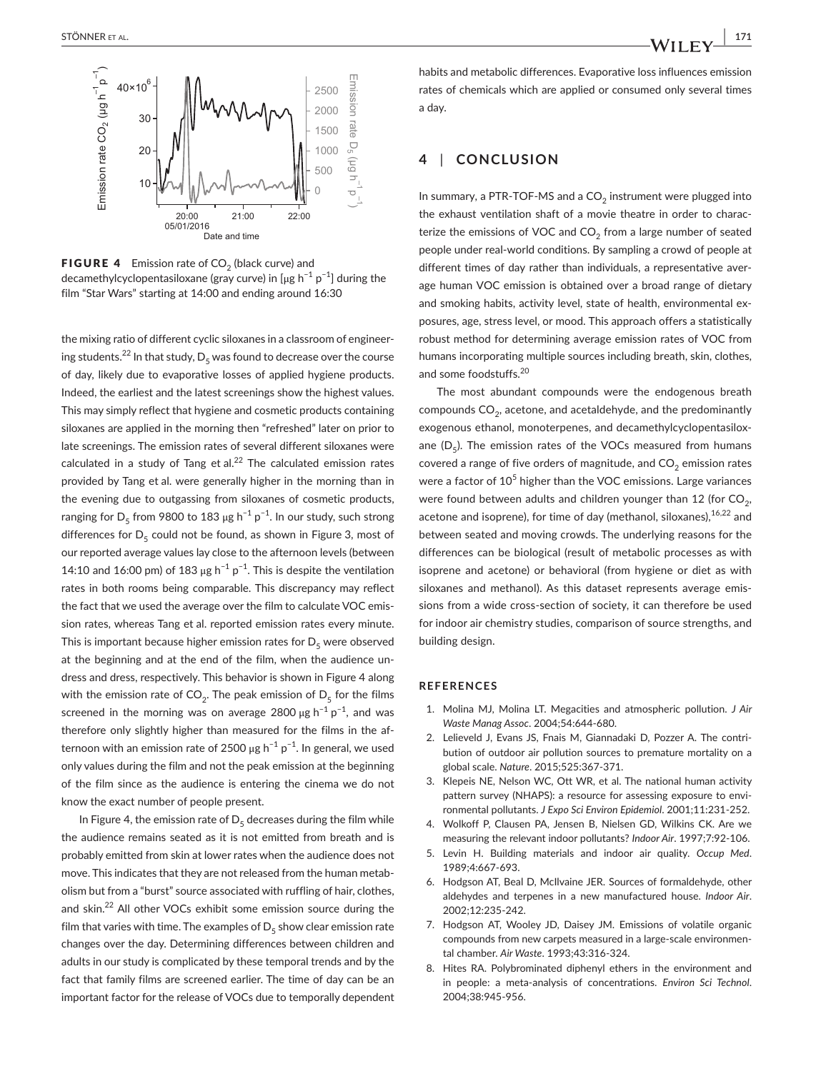

**FIGURE 4** Emission rate of  $CO<sub>2</sub>$  (black curve) and decamethylcyclopentasiloxane (gray curve) in [µg h<sup>-1</sup> p<sup>-1</sup>] during the film "Star Wars" starting at 14:00 and ending around 16:30

the mixing ratio of different cyclic siloxanes in a classroom of engineering students.<sup>22</sup> In that study,  $D_5$  was found to decrease over the course of day, likely due to evaporative losses of applied hygiene products. Indeed, the earliest and the latest screenings show the highest values. This may simply reflect that hygiene and cosmetic products containing siloxanes are applied in the morning then "refreshed" later on prior to late screenings. The emission rates of several different siloxanes were calculated in a study of Tang et al. $^{22}$  The calculated emission rates provided by Tang et al. were generally higher in the morning than in the evening due to outgassing from siloxanes of cosmetic products, ranging for  $D_5$  from 9800 to 183 µg h<sup>-1</sup> p<sup>-1</sup>. In our study, such strong differences for  $D_5$  could not be found, as shown in Figure 3, most of our reported average values lay close to the afternoon levels (between 14:10 and 16:00 pm) of 183 µg h<sup>-1</sup> p<sup>-1</sup>. This is despite the ventilation rates in both rooms being comparable. This discrepancy may reflect the fact that we used the average over the film to calculate VOC emission rates, whereas Tang et al. reported emission rates every minute. This is important because higher emission rates for  $D_5$  were observed at the beginning and at the end of the film, when the audience undress and dress, respectively. This behavior is shown in Figure 4 along with the emission rate of CO<sub>2</sub>. The peak emission of  $D_5$  for the films screened in the morning was on average 2800  $\mu$ g h<sup>-1</sup> p<sup>-1</sup>, and was therefore only slightly higher than measured for the films in the afternoon with an emission rate of 2500  $\mu$ g h<sup>-1</sup> p<sup>-1</sup>. In general, we used only values during the film and not the peak emission at the beginning of the film since as the audience is entering the cinema we do not know the exact number of people present.

In Figure 4, the emission rate of  $D_5$  decreases during the film while the audience remains seated as it is not emitted from breath and is probably emitted from skin at lower rates when the audience does not move. This indicates that they are not released from the human metabolism but from a "burst" source associated with ruffling of hair, clothes, and skin.<sup>22</sup> All other VOCs exhibit some emission source during the film that varies with time. The examples of  $D_5$  show clear emission rate changes over the day. Determining differences between children and adults in our study is complicated by these temporal trends and by the fact that family films are screened earlier. The time of day can be an important factor for the release of VOCs due to temporally dependent habits and metabolic differences. Evaporative loss influences emission rates of chemicals which are applied or consumed only several times a day.

## **4** | **CONCLUSION**

In summary, a PTR-TOF-MS and a  $CO<sub>2</sub>$  instrument were plugged into the exhaust ventilation shaft of a movie theatre in order to characterize the emissions of VOC and  $CO<sub>2</sub>$  from a large number of seated people under real-world conditions. By sampling a crowd of people at different times of day rather than individuals, a representative average human VOC emission is obtained over a broad range of dietary and smoking habits, activity level, state of health, environmental exposures, age, stress level, or mood. This approach offers a statistically robust method for determining average emission rates of VOC from humans incorporating multiple sources including breath, skin, clothes, and some foodstuffs.<sup>20</sup>

The most abundant compounds were the endogenous breath compounds  $CO<sub>2</sub>$ , acetone, and acetaldehyde, and the predominantly exogenous ethanol, monoterpenes, and decamethylcyclopentasiloxane  $(D_5)$ . The emission rates of the VOCs measured from humans covered a range of five orders of magnitude, and  $CO<sub>2</sub>$  emission rates were a factor of 10<sup>5</sup> higher than the VOC emissions. Large variances were found between adults and children younger than 12 (for  $CO<sub>2</sub>$ , acetone and isoprene), for time of day (methanol, siloxanes),  $16,22$  and between seated and moving crowds. The underlying reasons for the differences can be biological (result of metabolic processes as with isoprene and acetone) or behavioral (from hygiene or diet as with siloxanes and methanol). As this dataset represents average emissions from a wide cross-section of society, it can therefore be used for indoor air chemistry studies, comparison of source strengths, and building design.

### **REFERENCES**

- 1. Molina MJ, Molina LT. Megacities and atmospheric pollution. *J Air Waste Manag Assoc*. 2004;54:644-680.
- 2. Lelieveld J, Evans JS, Fnais M, Giannadaki D, Pozzer A. The contribution of outdoor air pollution sources to premature mortality on a global scale. *Nature*. 2015;525:367‐371.
- 3. Klepeis NE, Nelson WC, Ott WR, et al. The national human activity pattern survey (NHAPS): a resource for assessing exposure to environmental pollutants. *J Expo Sci Environ Epidemiol*. 2001;11:231‐252.
- 4. Wolkoff P, Clausen PA, Jensen B, Nielsen GD, Wilkins CK. Are we measuring the relevant indoor pollutants? *Indoor Air*. 1997;7:92‐106.
- 5. Levin H. Building materials and indoor air quality. *Occup Med*. 1989;4:667‐693.
- 6. Hodgson AT, Beal D, McIlvaine JER. Sources of formaldehyde, other aldehydes and terpenes in a new manufactured house. *Indoor Air*. 2002;12:235‐242.
- 7. Hodgson AT, Wooley JD, Daisey JM. Emissions of volatile organic compounds from new carpets measured in a large-scale environmental chamber. *Air Waste*. 1993;43:316‐324.
- 8. Hites RA. Polybrominated diphenyl ethers in the environment and in people: a meta-analysis of concentrations. *Environ Sci Technol*. 2004;38:945‐956.